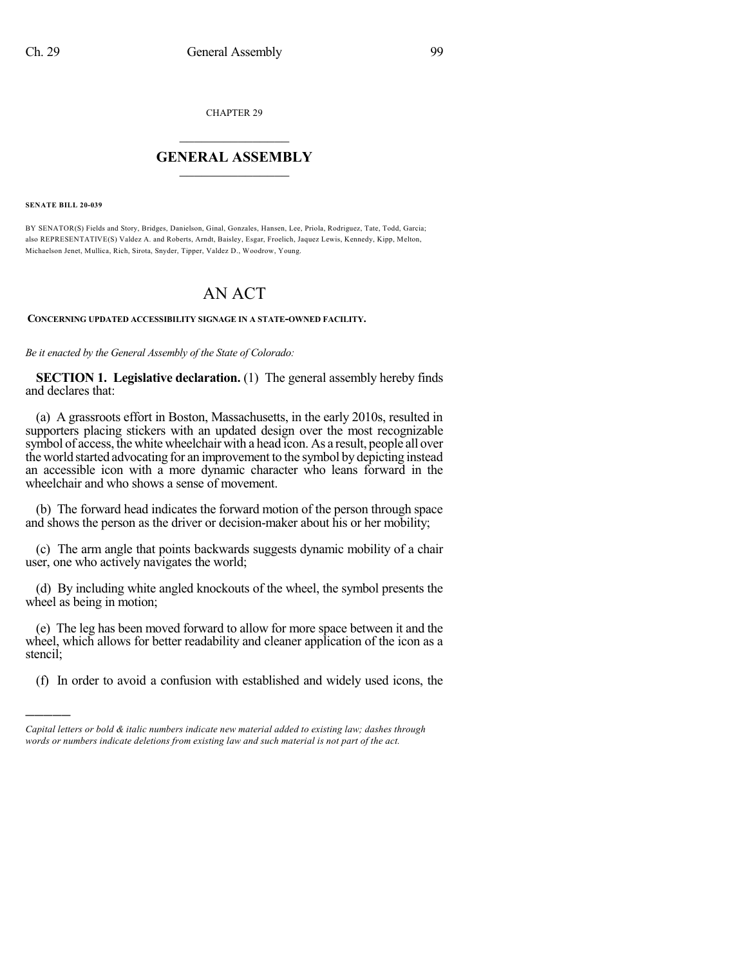CHAPTER 29

## $\overline{\phantom{a}}$  . The set of the set of the set of the set of the set of the set of the set of the set of the set of the set of the set of the set of the set of the set of the set of the set of the set of the set of the set o **GENERAL ASSEMBLY**  $\frac{1}{\sqrt{2}}$

**SENATE BILL 20-039**

)))))

BY SENATOR(S) Fields and Story, Bridges, Danielson, Ginal, Gonzales, Hansen, Lee, Priola, Rodriguez, Tate, Todd, Garcia; also REPRESENTATIVE(S) Valdez A. and Roberts, Arndt, Baisley, Esgar, Froelich, Jaquez Lewis, Kennedy, Kipp, Melton, Michaelson Jenet, Mullica, Rich, Sirota, Snyder, Tipper, Valdez D., Woodrow, Young.

## AN ACT

## **CONCERNING UPDATED ACCESSIBILITY SIGNAGE IN A STATE-OWNED FACILITY.**

*Be it enacted by the General Assembly of the State of Colorado:*

**SECTION 1. Legislative declaration.** (1) The general assembly hereby finds and declares that:

(a) A grassroots effort in Boston, Massachusetts, in the early 2010s, resulted in supporters placing stickers with an updated design over the most recognizable symbol of access, the white wheelchair with a head icon. As a result, people all over the world started advocating for an improvement to the symbol by depicting instead an accessible icon with a more dynamic character who leans forward in the wheelchair and who shows a sense of movement.

(b) The forward head indicates the forward motion of the person through space and shows the person as the driver or decision-maker about his or her mobility;

(c) The arm angle that points backwards suggests dynamic mobility of a chair user, one who actively navigates the world;

(d) By including white angled knockouts of the wheel, the symbol presents the wheel as being in motion;

(e) The leg has been moved forward to allow for more space between it and the wheel, which allows for better readability and cleaner application of the icon as a stencil;

(f) In order to avoid a confusion with established and widely used icons, the

*Capital letters or bold & italic numbers indicate new material added to existing law; dashes through words or numbers indicate deletions from existing law and such material is not part of the act.*